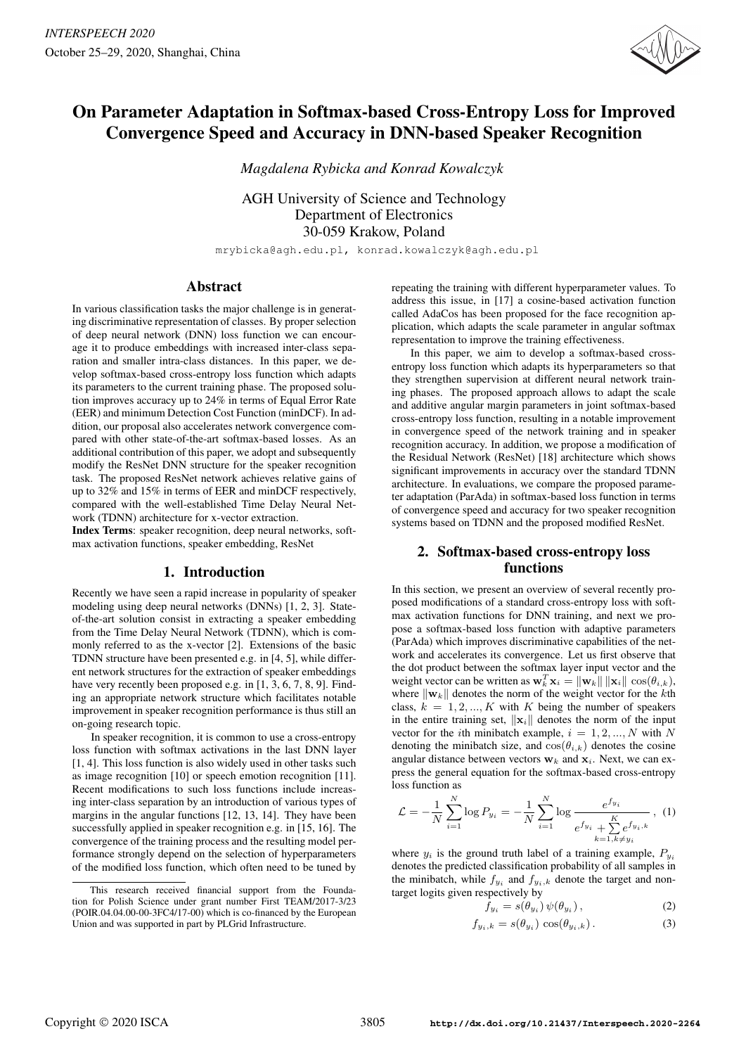

# On Parameter Adaptation in Softmax-based Cross-Entropy Loss for Improved Convergence Speed and Accuracy in DNN-based Speaker Recognition

*Magdalena Rybicka and Konrad Kowalczyk*

AGH University of Science and Technology Department of Electronics 30-059 Krakow, Poland

mrybicka@agh.edu.pl, konrad.kowalczyk@agh.edu.pl

# Abstract

In various classification tasks the major challenge is in generating discriminative representation of classes. By proper selection of deep neural network (DNN) loss function we can encourage it to produce embeddings with increased inter-class separation and smaller intra-class distances. In this paper, we develop softmax-based cross-entropy loss function which adapts its parameters to the current training phase. The proposed solution improves accuracy up to 24% in terms of Equal Error Rate (EER) and minimum Detection Cost Function (minDCF). In addition, our proposal also accelerates network convergence compared with other state-of-the-art softmax-based losses. As an additional contribution of this paper, we adopt and subsequently modify the ResNet DNN structure for the speaker recognition task. The proposed ResNet network achieves relative gains of up to 32% and 15% in terms of EER and minDCF respectively, compared with the well-established Time Delay Neural Network (TDNN) architecture for x-vector extraction.

Index Terms: speaker recognition, deep neural networks, softmax activation functions, speaker embedding, ResNet

# 1. Introduction

Recently we have seen a rapid increase in popularity of speaker modeling using deep neural networks (DNNs) [1, 2, 3]. Stateof-the-art solution consist in extracting a speaker embedding from the Time Delay Neural Network (TDNN), which is commonly referred to as the x-vector [2]. Extensions of the basic TDNN structure have been presented e.g. in [4, 5], while different network structures for the extraction of speaker embeddings have very recently been proposed e.g. in [1, 3, 6, 7, 8, 9]. Finding an appropriate network structure which facilitates notable improvement in speaker recognition performance is thus still an on-going research topic.

In speaker recognition, it is common to use a cross-entropy loss function with softmax activations in the last DNN layer [1, 4]. This loss function is also widely used in other tasks such as image recognition [10] or speech emotion recognition [11]. Recent modifications to such loss functions include increasing inter-class separation by an introduction of various types of margins in the angular functions [12, 13, 14]. They have been successfully applied in speaker recognition e.g. in [15, 16]. The convergence of the training process and the resulting model performance strongly depend on the selection of hyperparameters of the modified loss function, which often need to be tuned by

repeating the training with different hyperparameter values. To address this issue, in [17] a cosine-based activation function called AdaCos has been proposed for the face recognition application, which adapts the scale parameter in angular softmax representation to improve the training effectiveness.

In this paper, we aim to develop a softmax-based crossentropy loss function which adapts its hyperparameters so that they strengthen supervision at different neural network training phases. The proposed approach allows to adapt the scale and additive angular margin parameters in joint softmax-based cross-entropy loss function, resulting in a notable improvement in convergence speed of the network training and in speaker recognition accuracy. In addition, we propose a modification of the Residual Network (ResNet) [18] architecture which shows significant improvements in accuracy over the standard TDNN architecture. In evaluations, we compare the proposed parameter adaptation (ParAda) in softmax-based loss function in terms of convergence speed and accuracy for two speaker recognition systems based on TDNN and the proposed modified ResNet.

# 2. Softmax-based cross-entropy loss functions

In this section, we present an overview of several recently proposed modifications of a standard cross-entropy loss with softmax activation functions for DNN training, and next we propose a softmax-based loss function with adaptive parameters (ParAda) which improves discriminative capabilities of the network and accelerates its convergence. Let us first observe that the dot product between the softmax layer input vector and the weight vector can be written as  $\mathbf{w}_k^T \mathbf{x}_i = \|\mathbf{w}_k\| \|\mathbf{x}_i\| \cos(\theta_{i,k}),$ where  $\|\mathbf{w}_k\|$  denotes the norm of the weight vector for the kth class,  $k = 1, 2, ..., K$  with K being the number of speakers in the entire training set,  $\|\mathbf{x}_i\|$  denotes the norm of the input vector for the *i*th minibatch example,  $i = 1, 2, ..., N$  with N denoting the minibatch size, and  $cos(\theta_{i,k})$  denotes the cosine angular distance between vectors  $w_k$  and  $x_i$ . Next, we can express the general equation for the softmax-based cross-entropy loss function as

$$
\mathcal{L} = -\frac{1}{N} \sum_{i=1}^{N} \log P_{y_i} = -\frac{1}{N} \sum_{i=1}^{N} \log \frac{e^{f_{y_i}}}{e^{f_{y_i}} + \sum_{k=1, k \neq y_i}^{K} e^{f_{y_i}, k}}, \quad (1)
$$

where  $y_i$  is the ground truth label of a training example,  $P_{y_i}$ denotes the predicted classification probability of all samples in the minibatch, while  $f_{y_i}$  and  $f_{y_i,k}$  denote the target and nontarget logits given respectively by

$$
f_{y_i} = s(\theta_{y_i}) \psi(\theta_{y_i}), \qquad (2)
$$

$$
f_{y_i,k} = s(\theta_{y_i}) \cos(\theta_{y_i,k}). \tag{3}
$$

This research received financial support from the Foundation for Polish Science under grant number First TEAM/2017-3/23 (POIR.04.04.00-00-3FC4/17-00) which is co-financed by the European Union and was supported in part by PLGrid Infrastructure.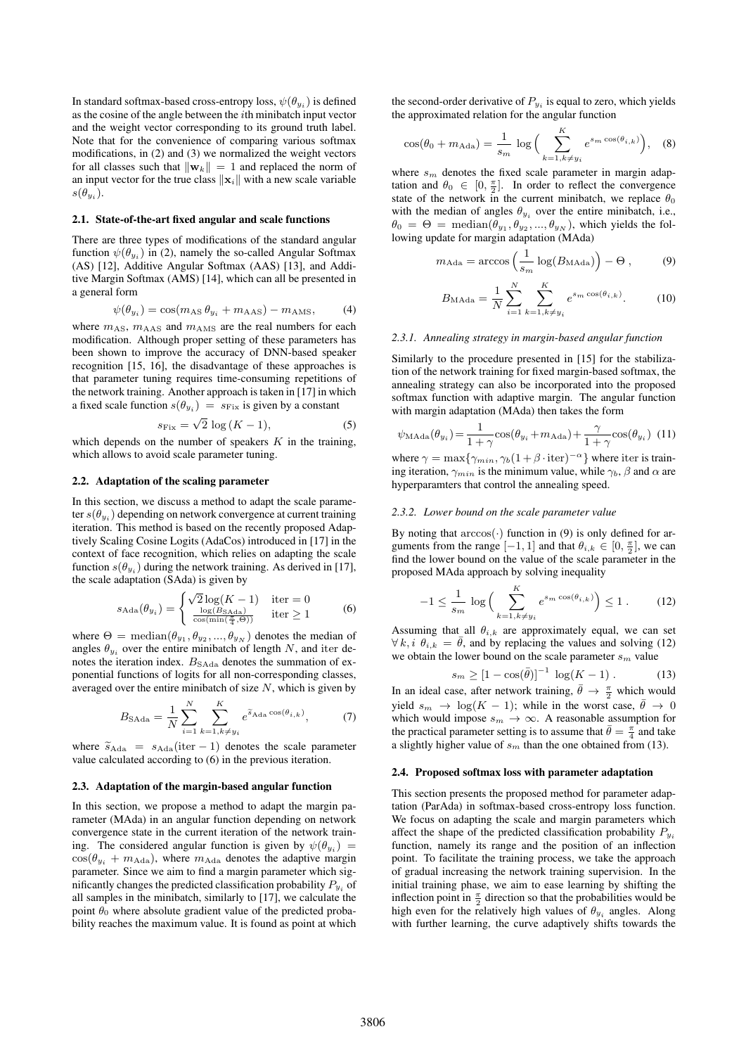In standard softmax-based cross-entropy loss,  $\psi(\theta_{y_i})$  is defined as the cosine of the angle between the ith minibatch input vector and the weight vector corresponding to its ground truth label. Note that for the convenience of comparing various softmax modifications, in (2) and (3) we normalized the weight vectors for all classes such that  $\|\mathbf{w}_k\| = 1$  and replaced the norm of an input vector for the true class  $\|\mathbf{x}_i\|$  with a new scale variable  $s(\theta_{y_i}).$ 

#### 2.1. State-of-the-art fixed angular and scale functions

There are three types of modifications of the standard angular function  $\psi(\theta_{y_i})$  in (2), namely the so-called Angular Softmax (AS) [12], Additive Angular Softmax (AAS) [13], and Additive Margin Softmax (AMS) [14], which can all be presented in a general form

$$
\psi(\theta_{y_i}) = \cos(m_{\text{AS}} \theta_{y_i} + m_{\text{AAS}}) - m_{\text{AMS}},\tag{4}
$$

where  $m_{AS}$ ,  $m_{AAS}$  and  $m_{AMS}$  are the real numbers for each modification. Although proper setting of these parameters has been shown to improve the accuracy of DNN-based speaker recognition [15, 16], the disadvantage of these approaches is that parameter tuning requires time-consuming repetitions of the network training. Another approach is taken in [17] in which a fixed scale function  $s(\theta_{y_i}) = s_{\text{Fix}}$  is given by a constant

$$
s_{\text{Fix}} = \sqrt{2} \, \log \left( K - 1 \right),\tag{5}
$$

which depends on the number of speakers  $K$  in the training, which allows to avoid scale parameter tuning.

#### 2.2. Adaptation of the scaling parameter

In this section, we discuss a method to adapt the scale parameter  $s(\theta_{y_i})$  depending on network convergence at current training iteration. This method is based on the recently proposed Adaptively Scaling Cosine Logits (AdaCos) introduced in [17] in the context of face recognition, which relies on adapting the scale function  $s(\theta_{y_i})$  during the network training. As derived in [17], the scale adaptation (SAda) is given by

$$
s_{\text{Ada}}(\theta_{y_i}) = \begin{cases} \sqrt{2} \log(K - 1) & \text{iter} = 0\\ \frac{\log(B_{\text{SAda}})}{\cos(\min(\frac{\pi}{4}, \Theta))} & \text{iter} \ge 1 \end{cases} \tag{6}
$$

where  $\Theta = \text{median}(\theta_{y_1}, \theta_{y_2}, ..., \theta_{y_N})$  denotes the median of angles  $\theta_{y_i}$  over the entire minibatch of length N, and iter denotes the iteration index.  $B_{\rm SAda}$  denotes the summation of exponential functions of logits for all non-corresponding classes, averaged over the entire minibatch of size  $N$ , which is given by

$$
B_{\text{SAda}} = \frac{1}{N} \sum_{i=1}^{N} \sum_{k=1, k \neq y_i}^{K} e^{\tilde{s}_{\text{Ada}} \cos(\theta_{i,k})}, \tag{7}
$$

where  $\tilde{s}_{\text{Ada}} = s_{\text{Ada}}(iter - 1)$  denotes the scale parameter value calculated according to (6) in the previous iteration.

#### 2.3. Adaptation of the margin-based angular function

In this section, we propose a method to adapt the margin parameter (MAda) in an angular function depending on network convergence state in the current iteration of the network training. The considered angular function is given by  $\psi(\theta_{y_i}) =$  $cos(\theta_{y_i} + m_{\text{Ada}})$ , where  $m_{\text{Ada}}$  denotes the adaptive margin parameter. Since we aim to find a margin parameter which significantly changes the predicted classification probability  $P_{y_i}$  of all samples in the minibatch, similarly to [17], we calculate the point  $\theta_0$  where absolute gradient value of the predicted probability reaches the maximum value. It is found as point at which

the second-order derivative of  $P_{y_i}$  is equal to zero, which yields the approximated relation for the angular function

$$
\cos(\theta_0 + m_{\text{Ada}}) = \frac{1}{s_m} \log \Big( \sum_{k=1, k \neq y_i}^{K} e^{s_m \cos(\theta_{i,k})} \Big), \quad (8)
$$

where  $s_m$  denotes the fixed scale parameter in margin adaptation and  $\theta_0 \in [0, \frac{\pi}{2}]$ . In order to reflect the convergence state of the network in the current minibatch, we replace  $\theta_0$ with the median of angles  $\theta_{y_i}$  over the entire minibatch, i.e.,  $\theta_0 = \Theta = \text{median}(\theta_{y_1}, \theta_{y_2}, ..., \theta_{y_N})$ , which yields the following update for margin adaptation (MAda)

$$
m_{\text{Ada}} = \arccos\left(\frac{1}{s_m} \log(B_{\text{MAda}})\right) - \Theta ,\qquad (9)
$$

$$
B_{\text{MAda}} = \frac{1}{N} \sum_{i=1}^{N} \sum_{k=1, k \neq y_i}^{K} e^{s_m \cos(\theta_{i,k})}.
$$
 (10)

#### *2.3.1. Annealing strategy in margin-based angular function*

Similarly to the procedure presented in [15] for the stabilization of the network training for fixed margin-based softmax, the annealing strategy can also be incorporated into the proposed softmax function with adaptive margin. The angular function with margin adaptation (MAda) then takes the form

$$
\psi_{\text{MAda}}(\theta_{y_i}) = \frac{1}{1+\gamma} \cos(\theta_{y_i} + m_{\text{Ada}}) + \frac{\gamma}{1+\gamma} \cos(\theta_{y_i}) \tag{11}
$$

where  $\gamma = \max\{\gamma_{min}, \gamma_b(1+\beta \cdot \text{iter})^{-\alpha}\}\$  where iter is training iteration,  $\gamma_{min}$  is the minimum value, while  $\gamma_b$ ,  $\beta$  and  $\alpha$  are hyperparamters that control the annealing speed.

#### *2.3.2. Lower bound on the scale parameter value*

By noting that  $arccos(\cdot)$  function in (9) is only defined for arguments from the range  $[-1, 1]$  and that  $\theta_{i,k} \in [0, \frac{\pi}{2}]$ , we can find the lower bound on the value of the scale parameter in the proposed MAda approach by solving inequality

$$
-1 \le \frac{1}{s_m} \log \left( \sum_{k=1, k \ne y_i}^{K} e^{s_m \cos(\theta_{i,k})} \right) \le 1. \tag{12}
$$

Assuming that all  $\theta_{i,k}$  are approximately equal, we can set  $\forall k, i \theta_{i,k} = \overline{\theta}$ , and by replacing the values and solving (12) we obtain the lower bound on the scale parameter  $s_m$  value

$$
s_m \ge [1 - \cos(\bar{\theta})]^{-1} \log(K - 1) . \tag{13}
$$

In an ideal case, after network training,  $\bar{\theta} \rightarrow \frac{\pi}{2}$  which would yield  $s_m \to \log(K - 1)$ ; while in the worst case,  $\bar{\theta} \to 0$ which would impose  $s_m \to \infty$ . A reasonable assumption for the practical parameter setting is to assume that  $\bar{\theta} = \frac{\pi}{4}$  and take a slightly higher value of  $s_m$  than the one obtained from (13).

#### 2.4. Proposed softmax loss with parameter adaptation

This section presents the proposed method for parameter adaptation (ParAda) in softmax-based cross-entropy loss function. We focus on adapting the scale and margin parameters which affect the shape of the predicted classification probability  $P_{u_i}$ function, namely its range and the position of an inflection point. To facilitate the training process, we take the approach of gradual increasing the network training supervision. In the initial training phase, we aim to ease learning by shifting the inflection point in  $\frac{\pi}{2}$  direction so that the probabilities would be high even for the relatively high values of  $\theta_{y_i}$  angles. Along with further learning, the curve adaptively shifts towards the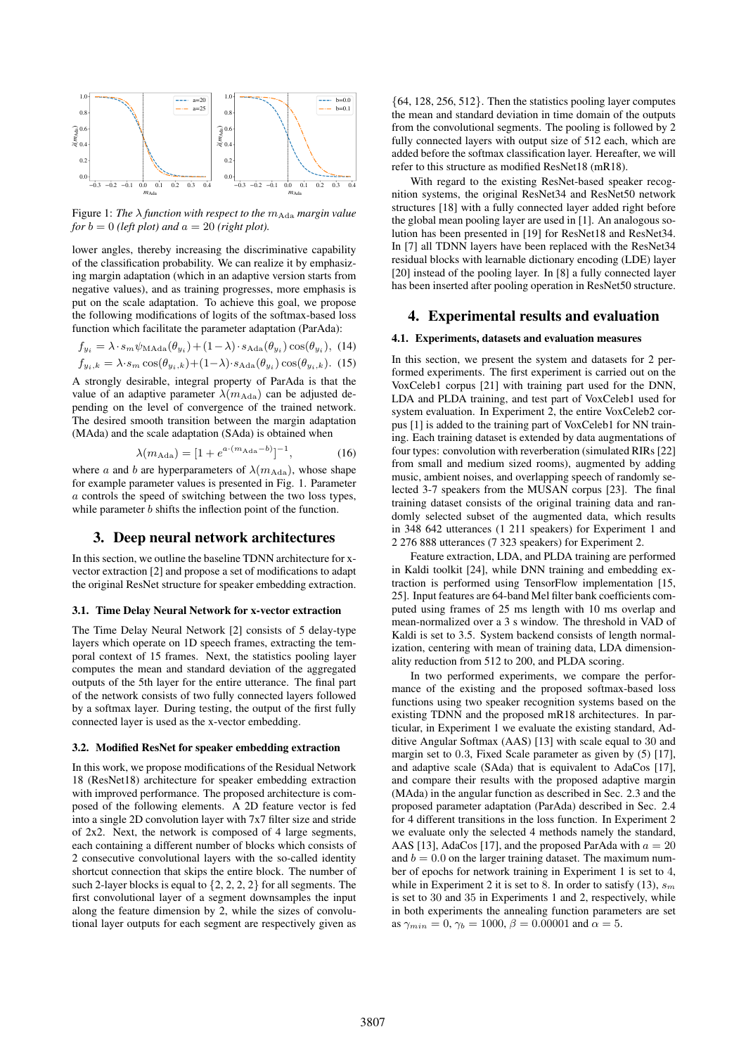

Figure 1: *The*  $\lambda$  *function with respect to the*  $m_{\text{Ada}}$  *margin value for*  $b = 0$  *(left plot)* and  $a = 20$  *(right plot).* 

lower angles, thereby increasing the discriminative capability of the classification probability. We can realize it by emphasizing margin adaptation (which in an adaptive version starts from negative values), and as training progresses, more emphasis is put on the scale adaptation. To achieve this goal, we propose the following modifications of logits of the softmax-based loss function which facilitate the parameter adaptation (ParAda):

$$
f_{y_i} = \lambda \cdot s_m \psi_{\text{MAda}}(\theta_{y_i}) + (1 - \lambda) \cdot s_{\text{Ada}}(\theta_{y_i}) \cos(\theta_{y_i}), \tag{14}
$$

$$
f_{y_i,k} = \lambda \cdot s_m \cos(\theta_{y_i,k}) + (1 - \lambda) \cdot s_{\text{Ada}}(\theta_{y_i}) \cos(\theta_{y_i,k}). \tag{15}
$$

A strongly desirable, integral property of ParAda is that the value of an adaptive parameter  $\lambda(m_{\text{Ada}})$  can be adjusted depending on the level of convergence of the trained network. The desired smooth transition between the margin adaptation (MAda) and the scale adaptation (SAda) is obtained when

$$
\lambda(m_{\text{Ada}}) = [1 + e^{a \cdot (m_{\text{Ada}} - b)}]^{-1}, \tag{16}
$$

where a and b are hyperparameters of  $\lambda(m_{\rm Ada})$ , whose shape for example parameter values is presented in Fig. 1. Parameter a controls the speed of switching between the two loss types, while parameter *b* shifts the inflection point of the function.

# 3. Deep neural network architectures

In this section, we outline the baseline TDNN architecture for xvector extraction [2] and propose a set of modifications to adapt the original ResNet structure for speaker embedding extraction.

#### 3.1. Time Delay Neural Network for x-vector extraction

The Time Delay Neural Network [2] consists of 5 delay-type layers which operate on 1D speech frames, extracting the temporal context of 15 frames. Next, the statistics pooling layer computes the mean and standard deviation of the aggregated outputs of the 5th layer for the entire utterance. The final part of the network consists of two fully connected layers followed by a softmax layer. During testing, the output of the first fully connected layer is used as the x-vector embedding.

#### 3.2. Modified ResNet for speaker embedding extraction

In this work, we propose modifications of the Residual Network 18 (ResNet18) architecture for speaker embedding extraction with improved performance. The proposed architecture is composed of the following elements. A 2D feature vector is fed into a single 2D convolution layer with 7x7 filter size and stride of 2x2. Next, the network is composed of 4 large segments, each containing a different number of blocks which consists of 2 consecutive convolutional layers with the so-called identity shortcut connection that skips the entire block. The number of such 2-layer blocks is equal to  $\{2, 2, 2, 2\}$  for all segments. The first convolutional layer of a segment downsamples the input along the feature dimension by 2, while the sizes of convolutional layer outputs for each segment are respectively given as

{64, 128, 256, 512}. Then the statistics pooling layer computes the mean and standard deviation in time domain of the outputs from the convolutional segments. The pooling is followed by 2 fully connected layers with output size of 512 each, which are added before the softmax classification layer. Hereafter, we will refer to this structure as modified ResNet18 (mR18).

With regard to the existing ResNet-based speaker recognition systems, the original ResNet34 and ResNet50 network structures [18] with a fully connected layer added right before the global mean pooling layer are used in [1]. An analogous solution has been presented in [19] for ResNet18 and ResNet34. In [7] all TDNN layers have been replaced with the ResNet34 residual blocks with learnable dictionary encoding (LDE) layer [20] instead of the pooling layer. In [8] a fully connected layer has been inserted after pooling operation in ResNet50 structure.

### 4. Experimental results and evaluation

### 4.1. Experiments, datasets and evaluation measures

In this section, we present the system and datasets for 2 performed experiments. The first experiment is carried out on the VoxCeleb1 corpus [21] with training part used for the DNN, LDA and PLDA training, and test part of VoxCeleb1 used for system evaluation. In Experiment 2, the entire VoxCeleb2 corpus [1] is added to the training part of VoxCeleb1 for NN training. Each training dataset is extended by data augmentations of four types: convolution with reverberation (simulated RIRs [22] from small and medium sized rooms), augmented by adding music, ambient noises, and overlapping speech of randomly selected 3-7 speakers from the MUSAN corpus [23]. The final training dataset consists of the original training data and randomly selected subset of the augmented data, which results in 348 642 utterances (1 211 speakers) for Experiment 1 and 2 276 888 utterances (7 323 speakers) for Experiment 2.

Feature extraction, LDA, and PLDA training are performed in Kaldi toolkit [24], while DNN training and embedding extraction is performed using TensorFlow implementation [15, 25]. Input features are 64-band Mel filter bank coefficients computed using frames of 25 ms length with 10 ms overlap and mean-normalized over a 3 s window. The threshold in VAD of Kaldi is set to 3.5. System backend consists of length normalization, centering with mean of training data, LDA dimensionality reduction from 512 to 200, and PLDA scoring.

In two performed experiments, we compare the performance of the existing and the proposed softmax-based loss functions using two speaker recognition systems based on the existing TDNN and the proposed mR18 architectures. In particular, in Experiment 1 we evaluate the existing standard, Additive Angular Softmax (AAS) [13] with scale equal to 30 and margin set to 0.3, Fixed Scale parameter as given by  $(5)$  [17], and adaptive scale (SAda) that is equivalent to AdaCos [17], and compare their results with the proposed adaptive margin (MAda) in the angular function as described in Sec. 2.3 and the proposed parameter adaptation (ParAda) described in Sec. 2.4 for 4 different transitions in the loss function. In Experiment 2 we evaluate only the selected 4 methods namely the standard, AAS [13], AdaCos [17], and the proposed ParAda with  $a = 20$ and  $b = 0.0$  on the larger training dataset. The maximum number of epochs for network training in Experiment 1 is set to 4, while in Experiment 2 it is set to 8. In order to satisfy (13),  $s_m$ is set to 30 and 35 in Experiments 1 and 2, respectively, while in both experiments the annealing function parameters are set as  $\gamma_{min} = 0$ ,  $\gamma_b = 1000$ ,  $\beta = 0.00001$  and  $\alpha = 5$ .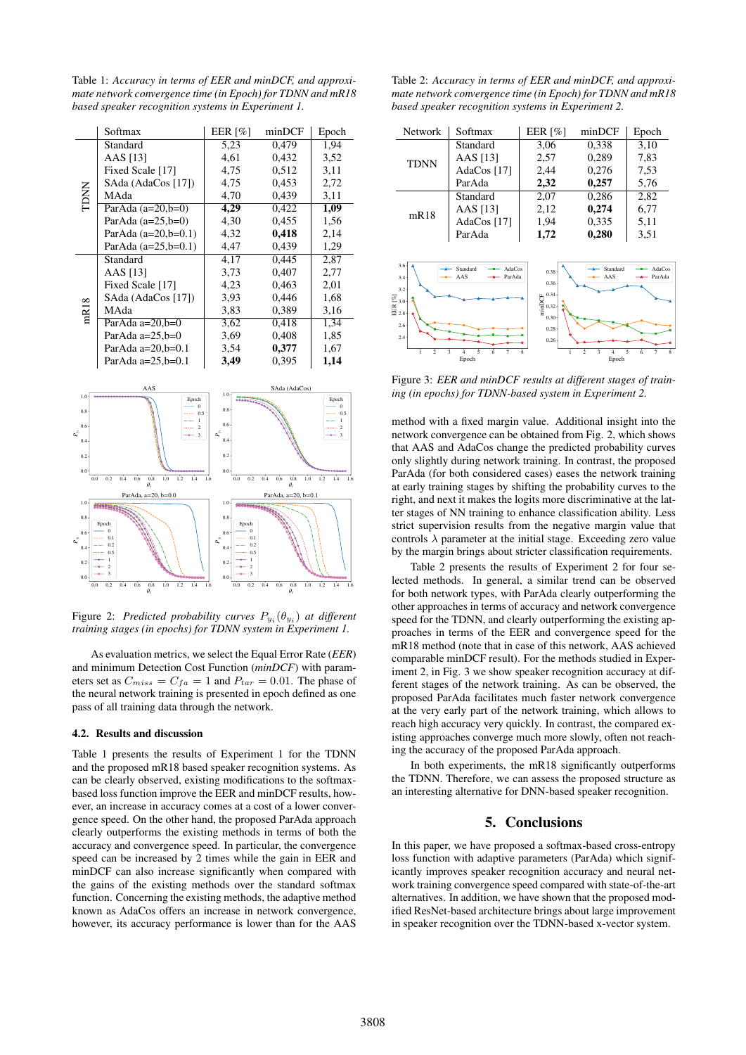Table 1: *Accuracy in terms of EER and minDCF, and approximate network convergence time (in Epoch) for TDNN and mR18 based speaker recognition systems in Experiment 1.*

|                                       | Softmax                                                     | EER $[%]$           | minDCF                                 | Epoch                            |  |  |  |  |
|---------------------------------------|-------------------------------------------------------------|---------------------|----------------------------------------|----------------------------------|--|--|--|--|
| <b>TDNN</b>                           | Standard                                                    | 5,23                | 0,479                                  | 1,94                             |  |  |  |  |
|                                       | AAS [13]                                                    | 4,61                | 0,432                                  | 3,52                             |  |  |  |  |
|                                       | Fixed Scale [17]                                            | 4,75                | 0,512                                  | 3,11                             |  |  |  |  |
|                                       | SAda (AdaCos [17])                                          | 4,75                | 0,453                                  | 2,72                             |  |  |  |  |
|                                       | MAda                                                        | 4,70                | 0,439                                  | 3,11                             |  |  |  |  |
|                                       | ParAda $(a=20,b=0)$                                         | 4,29                | 0,422                                  | 1,09                             |  |  |  |  |
|                                       | ParAda $(a=25,b=0)$                                         | 4,30                | 0,455                                  | 1,56                             |  |  |  |  |
|                                       | ParAda $(a=20,b=0.1)$                                       | 4,32                | 0,418                                  | 2,14                             |  |  |  |  |
|                                       | ParAda $(a=25, b=0.1)$                                      | 4,47                | 0,439                                  | 1,29                             |  |  |  |  |
| mR <sub>18</sub>                      | Standard                                                    | 4,17                | 0,445                                  | 2,87                             |  |  |  |  |
|                                       | AAS [13]                                                    | 3.73                | 0,407                                  | 2,77                             |  |  |  |  |
|                                       | Fixed Scale [17]                                            | 4,23                | 0,463                                  | 2,01                             |  |  |  |  |
|                                       | SAda (AdaCos [17])                                          | 3.93                | 0,446                                  | 1,68                             |  |  |  |  |
|                                       | MAda                                                        | 3,83                | 0,389                                  | 3,16                             |  |  |  |  |
|                                       | ParAda a=20,b=0                                             | 3,62                | 0,418                                  | 1,34                             |  |  |  |  |
|                                       | ParAda $a=25$ , $b=0$                                       | 3,69                | 0,408                                  | 1,85                             |  |  |  |  |
|                                       | ParAda $a=20, b=0.1$                                        | 3,54                | 0,377                                  | 1,67                             |  |  |  |  |
|                                       | Par $\text{Ada}$ a=25,b=0.1                                 | 3,49                | 0,395                                  | 1,14                             |  |  |  |  |
|                                       |                                                             |                     |                                        |                                  |  |  |  |  |
| AAS<br>1.0<br>1.0                     |                                                             |                     | SAda (AdaCos)                          |                                  |  |  |  |  |
|                                       | Epoch<br>Ó                                                  | 0.8                 |                                        | Epoch<br>$\Omega$                |  |  |  |  |
| 0.8                                   | 0.5<br>ı                                                    |                     |                                        | 0.5<br>I.                        |  |  |  |  |
| 0.6<br>$\mathsf{P}_\mathbb{R}^\times$ | $\overline{c}$<br>3                                         | 0.6                 |                                        | $\,2$<br>$\overline{\mathbf{3}}$ |  |  |  |  |
| 0.4                                   |                                                             | 0.4                 |                                        |                                  |  |  |  |  |
| 0.2<br>0.2                            |                                                             |                     |                                        |                                  |  |  |  |  |
| 0.0                                   |                                                             | 0.0                 |                                        |                                  |  |  |  |  |
| 0.0                                   | 1.2<br>0.2<br>0.4<br>0.6<br>0.8<br>1.0<br>1.4<br>$\theta_i$ | 1.6<br>0.0<br>0.2   | 0.4<br>0.6<br>0.8<br>1.0<br>$\theta_i$ | 1.2<br>1.4<br>16                 |  |  |  |  |
|                                       | ParAda, a=20, b=0.0                                         | ParAda, a=20, b=0.1 |                                        |                                  |  |  |  |  |
| 1.0                                   | <b>SERVICE</b>                                              | 1.0                 |                                        |                                  |  |  |  |  |
| 0.8                                   | Epoch                                                       | 0.8<br>Epoch        |                                        |                                  |  |  |  |  |
| 0.6<br>$\mathsf{P}_\mathbb{R}^\times$ |                                                             | 0.6<br>۵Ã           |                                        |                                  |  |  |  |  |
| 0.4                                   | 0.5                                                         | 0.4<br>n s          |                                        |                                  |  |  |  |  |
| 0.2                                   |                                                             | 0.2                 |                                        |                                  |  |  |  |  |
| 0.0                                   | ٩                                                           | ο<br>3<br>0.0       |                                        |                                  |  |  |  |  |
| 0.0                                   | 0.2<br>0.6<br>0.8<br>1.0<br>1.2<br>0.4<br>1.4<br>$\theta_i$ | 0.2<br>1.6<br>0.0   | 0.4<br>0.6<br>1.0<br>0.8<br>$\theta_i$ | 1.2<br>1.4<br>1.6                |  |  |  |  |

Figure 2: *Predicted probability curves*  $P_{y_i}(\theta_{y_i})$  at different *training stages (in epochs) for TDNN system in Experiment 1.*

As evaluation metrics, we select the Equal Error Rate (*EER*) and minimum Detection Cost Function (*minDCF*) with parameters set as  $C_{miss} = C_{fa} = 1$  and  $P_{tar} = 0.01$ . The phase of the neural network training is presented in epoch defined as one pass of all training data through the network.

#### 4.2. Results and discussion

Table 1 presents the results of Experiment 1 for the TDNN and the proposed mR18 based speaker recognition systems. As can be clearly observed, existing modifications to the softmaxbased loss function improve the EER and minDCF results, however, an increase in accuracy comes at a cost of a lower convergence speed. On the other hand, the proposed ParAda approach clearly outperforms the existing methods in terms of both the accuracy and convergence speed. In particular, the convergence speed can be increased by 2 times while the gain in EER and minDCF can also increase significantly when compared with the gains of the existing methods over the standard softmax function. Concerning the existing methods, the adaptive method known as AdaCos offers an increase in network convergence, however, its accuracy performance is lower than for the AAS

Table 2: *Accuracy in terms of EER and minDCF, and approximate network convergence time (in Epoch) for TDNN and mR18 based speaker recognition systems in Experiment 2.*

| <b>Network</b>                                                                        | Softmax                             | <b>EER</b> [%]                                                                   | minDCF          | Epoch            |
|---------------------------------------------------------------------------------------|-------------------------------------|----------------------------------------------------------------------------------|-----------------|------------------|
|                                                                                       | Standard                            | 3,06                                                                             | 0,338           | 3,10             |
| <b>TDNN</b>                                                                           | AAS [13]                            | 2,57                                                                             | 0,289           | 7,83             |
|                                                                                       | AdaCos [17]                         | 2,44                                                                             | 0,276           | 7,53             |
|                                                                                       | ParAda                              | 2,32                                                                             | 0,257           | 5,76             |
|                                                                                       | Standard                            | 2,07                                                                             | 0,286           | 2,82             |
| mR18                                                                                  | AAS [13]                            | 2,12                                                                             | 0,274           | 6,77             |
|                                                                                       | AdaCos [17]                         | 1,94                                                                             | 0,335           | 5,11             |
|                                                                                       | ParAda                              | 1,72                                                                             | 0,280           | 3,51             |
| 3.6<br>3.4<br>$3.2 -$<br>$\frac{1}{2}$ 3.0<br>$\frac{1}{2}$ 2.8<br>2.6<br>$2.4 \cdot$ | Standard<br>AdaCos<br>AAS<br>ParAda | 0.38<br>0.36<br>$\frac{6}{2}$ 0.34<br>$\frac{1}{2}$ 0.32<br>0.30<br>0.28<br>0.26 | Standard<br>AAS | AdaCos<br>ParAda |
| 2                                                                                     | 5<br>3<br>7<br>6<br>Epoch           |                                                                                  | 2<br>3<br>Epoch | 5                |

Figure 3: *EER and minDCF results at different stages of training (in epochs) for TDNN-based system in Experiment 2.*

method with a fixed margin value. Additional insight into the network convergence can be obtained from Fig. 2, which shows that AAS and AdaCos change the predicted probability curves only slightly during network training. In contrast, the proposed ParAda (for both considered cases) eases the network training at early training stages by shifting the probability curves to the right, and next it makes the logits more discriminative at the latter stages of NN training to enhance classification ability. Less strict supervision results from the negative margin value that controls  $\lambda$  parameter at the initial stage. Exceeding zero value by the margin brings about stricter classification requirements.

Table 2 presents the results of Experiment 2 for four selected methods. In general, a similar trend can be observed for both network types, with ParAda clearly outperforming the other approaches in terms of accuracy and network convergence speed for the TDNN, and clearly outperforming the existing approaches in terms of the EER and convergence speed for the mR18 method (note that in case of this network, AAS achieved comparable minDCF result). For the methods studied in Experiment 2, in Fig. 3 we show speaker recognition accuracy at different stages of the network training. As can be observed, the proposed ParAda facilitates much faster network convergence at the very early part of the network training, which allows to reach high accuracy very quickly. In contrast, the compared existing approaches converge much more slowly, often not reaching the accuracy of the proposed ParAda approach.

In both experiments, the mR18 significantly outperforms the TDNN. Therefore, we can assess the proposed structure as an interesting alternative for DNN-based speaker recognition.

# 5. Conclusions

In this paper, we have proposed a softmax-based cross-entropy loss function with adaptive parameters (ParAda) which significantly improves speaker recognition accuracy and neural network training convergence speed compared with state-of-the-art alternatives. In addition, we have shown that the proposed modified ResNet-based architecture brings about large improvement in speaker recognition over the TDNN-based x-vector system.